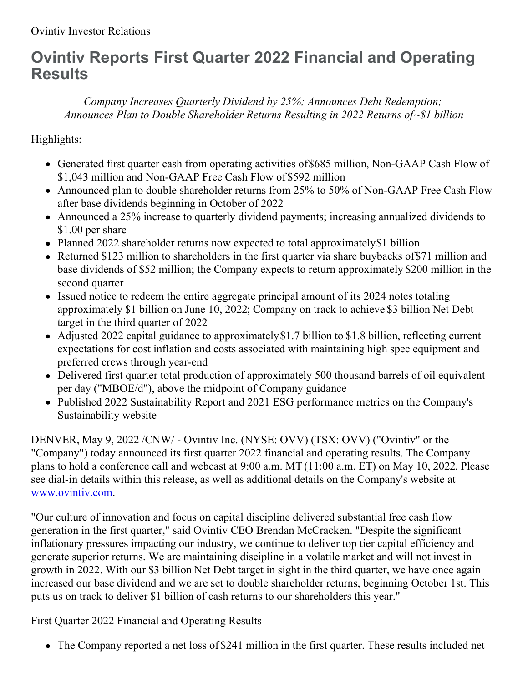# **Ovintiv Reports First Quarter 2022 Financial and Operating Results**

*Company Increases Quarterly Dividend by 25%; Announces Debt Redemption; Announces Plan to Double Shareholder Returns Resulting in 2022 Returns of~\$1 billion*

Highlights:

- Generated first quarter cash from operating activities of\$685 million, Non-GAAP Cash Flow of \$1,043 million and Non-GAAP Free Cash Flow of \$592 million
- Announced plan to double shareholder returns from 25% to 50% of Non-GAAP Free Cash Flow after base dividends beginning in October of 2022
- Announced a 25% increase to quarterly dividend payments; increasing annualized dividends to \$1.00 per share
- Planned 2022 shareholder returns now expected to total approximately \$1 billion
- Returned \$123 million to shareholders in the first quarter via share buybacks of \$71 million and base dividends of \$52 million; the Company expects to return approximately \$200 million in the second quarter
- Issued notice to redeem the entire aggregate principal amount of its 2024 notes totaling approximately \$1 billion on June 10, 2022; Company on track to achieve \$3 billion Net Debt target in the third quarter of 2022
- Adjusted 2022 capital guidance to approximately \$1.7 billion to \$1.8 billion, reflecting current expectations for cost inflation and costs associated with maintaining high spec equipment and preferred crews through year-end
- Delivered first quarter total production of approximately 500 thousand barrels of oil equivalent per day ("MBOE/d"), above the midpoint of Company guidance
- Published 2022 Sustainability Report and 2021 ESG performance metrics on the Company's Sustainability website

DENVER, May 9, 2022 /CNW/ - Ovintiv Inc. (NYSE: OVV) (TSX: OVV) ("Ovintiv" or the "Company") today announced its first quarter 2022 financial and operating results. The Company plans to hold a conference call and webcast at 9:00 a.m. MT (11:00 a.m. ET) on May 10, 2022. Please see dial-in details within this release, as well as additional details on the Company's website at [www.ovintiv.com](https://c212.net/c/link/?t=0&l=en&o=3529786-1&h=2252360367&u=http%3A%2F%2Fwww.ovintiv.com%2F&a=www.ovintiv.com).

"Our culture of innovation and focus on capital discipline delivered substantial free cash flow generation in the first quarter," said Ovintiv CEO Brendan McCracken. "Despite the significant inflationary pressures impacting our industry, we continue to deliver top tier capital efficiency and generate superior returns. We are maintaining discipline in a volatile market and will not invest in growth in 2022. With our \$3 billion Net Debt target in sight in the third quarter, we have once again increased our base dividend and we are set to double shareholder returns, beginning October 1st. This puts us on track to deliver \$1 billion of cash returns to our shareholders this year."

First Quarter 2022 Financial and Operating Results

The Company reported a net loss of \$241 million in the first quarter. These results included net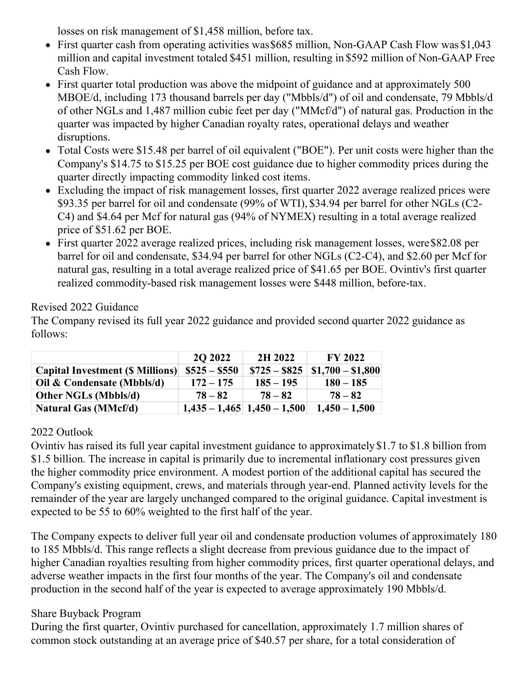losses on risk management of \$1,458 million, before tax.

- First quarter cash from operating activities was \$685 million, Non-GAAP Cash Flow was \$1,043 million and capital investment totaled \$451 million, resulting in \$592 million of Non-GAAP Free Cash Flow.
- First quarter total production was above the midpoint of guidance and at approximately 500 MBOE/d, including 173 thousand barrels per day ("Mbbls/d") of oil and condensate, 79 Mbbls/d of other NGLs and 1,487 million cubic feet per day ("MMcf/d") of natural gas. Production in the quarter was impacted by higher Canadian royalty rates, operational delays and weather disruptions.
- Total Costs were \$15.48 per barrel of oil equivalent ("BOE"). Per unit costs were higher than the Company's \$14.75 to \$15.25 per BOE cost guidance due to higher commodity prices during the quarter directly impacting commodity linked cost items.
- Excluding the impact of risk management losses, first quarter 2022 average realized prices were \$93.35 per barrel for oil and condensate (99% of WTI), \$34.94 per barrel for other NGLs (C2- C4) and \$4.64 per Mcf for natural gas (94% of NYMEX) resulting in a total average realized price of \$51.62 per BOE.
- First quarter 2022 average realized prices, including risk management losses, were\$82.08 per barrel for oil and condensate, \$34.94 per barrel for other NGLs (C2-C4), and \$2.60 per Mcf for natural gas, resulting in a total average realized price of \$41.65 per BOE. Ovintiv's first quarter realized commodity-based risk management losses were \$448 million, before-tax.

#### Revised 2022 Guidance

The Company revised its full year 2022 guidance and provided second quarter 2022 guidance as follows:

|                                         | <b>20 20 22</b> | 2H 2022                           | <b>FY 2022</b>    |
|-----------------------------------------|-----------------|-----------------------------------|-------------------|
| <b>Capital Investment (\$ Millions)</b> | $\$525 - \$550$ | $\$725 - \$825$                   | $$1,700 - $1,800$ |
| Oil & Condensate (Mbbls/d)              | $172 - 175$     | $185 - 195$                       | $180 - 185$       |
| <b>Other NGLs (Mbbls/d)</b>             | $78 - 82$       | $78 - 82$                         | $78 - 82$         |
| <b>Natural Gas (MMcf/d)</b>             |                 | $1,435 - 1,465$   $1,450 - 1,500$ | $1,450 - 1,500$   |

## 2022 Outlook

Ovintiv has raised its full year capital investment guidance to approximately \$1.7 to \$1.8 billion from \$1.5 billion. The increase in capital is primarily due to incremental inflationary cost pressures given the higher commodity price environment. A modest portion of the additional capital has secured the Company's existing equipment, crews, and materials through year-end. Planned activity levels for the remainder of the year are largely unchanged compared to the original guidance. Capital investment is expected to be 55 to 60% weighted to the first half of the year.

The Company expects to deliver full year oil and condensate production volumes of approximately 180 to 185 Mbbls/d. This range reflects a slight decrease from previous guidance due to the impact of higher Canadian royalties resulting from higher commodity prices, first quarter operational delays, and adverse weather impacts in the first four months of the year. The Company's oil and condensate production in the second half of the year is expected to average approximately 190 Mbbls/d.

## Share Buyback Program

During the first quarter, Ovintiv purchased for cancellation, approximately 1.7 million shares of common stock outstanding at an average price of \$40.57 per share, for a total consideration of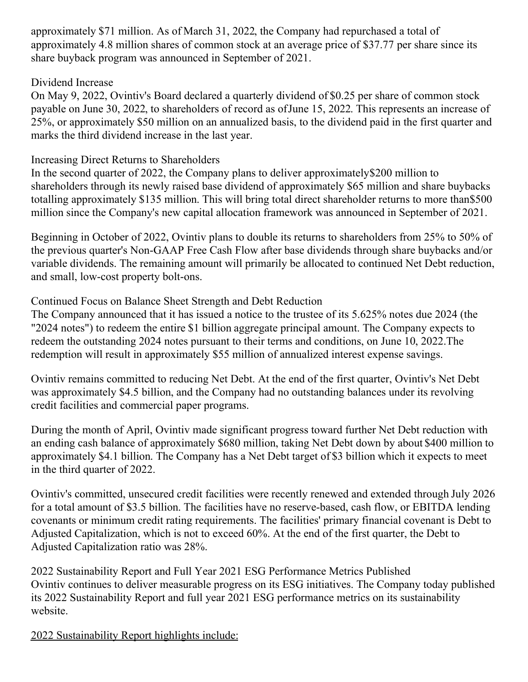approximately \$71 million. As of March 31, 2022, the Company had repurchased a total of approximately 4.8 million shares of common stock at an average price of \$37.77 per share since its share buyback program was announced in September of 2021.

#### Dividend Increase

On May 9, 2022, Ovintiv's Board declared a quarterly dividend of \$0.25 per share of common stock payable on June 30, 2022, to shareholders of record as ofJune 15, 2022. This represents an increase of 25%, or approximately \$50 million on an annualized basis, to the dividend paid in the first quarter and marks the third dividend increase in the last year.

## Increasing Direct Returns to Shareholders

In the second quarter of 2022, the Company plans to deliver approximately\$200 million to shareholders through its newly raised base dividend of approximately \$65 million and share buybacks totalling approximately \$135 million. This will bring total direct shareholder returns to more than\$500 million since the Company's new capital allocation framework was announced in September of 2021.

Beginning in October of 2022, Ovintiv plans to double its returns to shareholders from 25% to 50% of the previous quarter's Non-GAAP Free Cash Flow after base dividends through share buybacks and/or variable dividends. The remaining amount will primarily be allocated to continued Net Debt reduction, and small, low-cost property bolt-ons.

## Continued Focus on Balance Sheet Strength and Debt Reduction

The Company announced that it has issued a notice to the trustee of its 5.625% notes due 2024 (the "2024 notes") to redeem the entire \$1 billion aggregate principal amount. The Company expects to redeem the outstanding 2024 notes pursuant to their terms and conditions, on June 10, 2022.The redemption will result in approximately \$55 million of annualized interest expense savings.

Ovintiv remains committed to reducing Net Debt. At the end of the first quarter, Ovintiv's Net Debt was approximately \$4.5 billion, and the Company had no outstanding balances under its revolving credit facilities and commercial paper programs.

During the month of April, Ovintiv made significant progress toward further Net Debt reduction with an ending cash balance of approximately \$680 million, taking Net Debt down by about \$400 million to approximately \$4.1 billion. The Company has a Net Debt target of \$3 billion which it expects to meet in the third quarter of 2022.

Ovintiv's committed, unsecured credit facilities were recently renewed and extended through July 2026 for a total amount of \$3.5 billion. The facilities have no reserve-based, cash flow, or EBITDA lending covenants or minimum credit rating requirements. The facilities' primary financial covenant is Debt to Adjusted Capitalization, which is not to exceed 60%. At the end of the first quarter, the Debt to Adjusted Capitalization ratio was 28%.

2022 Sustainability Report and Full Year 2021 ESG Performance Metrics Published Ovintiv continues to deliver measurable progress on its ESG initiatives. The Company today published its 2022 Sustainability Report and full year 2021 ESG performance metrics on its sustainability website.

2022 Sustainability Report highlights include: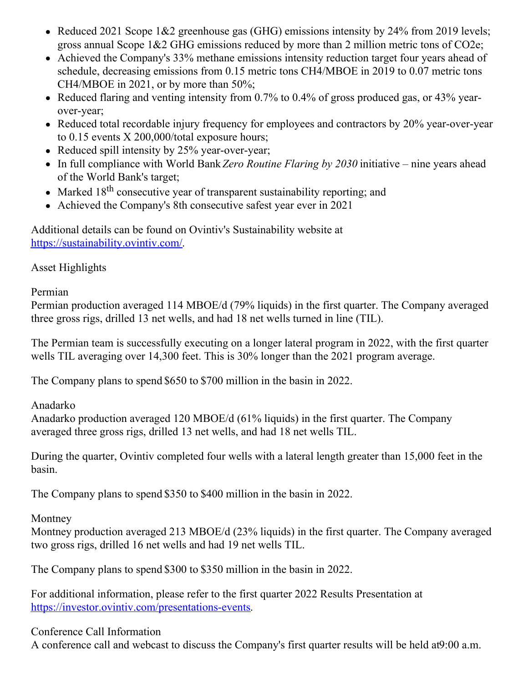- Reduced 2021 Scope 1&2 greenhouse gas (GHG) emissions intensity by 24% from 2019 levels; gross annual Scope 1&2 GHG emissions reduced by more than 2 million metric tons of CO2e;
- Achieved the Company's 33% methane emissions intensity reduction target four years ahead of schedule, decreasing emissions from 0.15 metric tons CH4/MBOE in 2019 to 0.07 metric tons CH4/MBOE in 2021, or by more than 50%;
- Reduced flaring and venting intensity from 0.7% to 0.4% of gross produced gas, or 43% yearover-year;
- Reduced total recordable injury frequency for employees and contractors by  $20\%$  year-over-year to 0.15 events X 200,000/total exposure hours;
- Reduced spill intensity by 25% year-over-year;
- In full compliance with World Bank*Zero Routine Flaring by 2030* initiative nine years ahead of the World Bank's target;
- Marked 18<sup>th</sup> consecutive year of transparent sustainability reporting; and
- Achieved the Company's 8th consecutive safest year ever in 2021

Additional details can be found on Ovintiv's Sustainability website at [https://sustainability.ovintiv.com/](https://c212.net/c/link/?t=0&l=en&o=3529786-1&h=320093006&u=https%3A%2F%2Fsustainability.ovintiv.com%2F&a=https%3A%2F%2Fsustainability.ovintiv.com%2F).

## Asset Highlights

Permian

Permian production averaged 114 MBOE/d (79% liquids) in the first quarter. The Company averaged three gross rigs, drilled 13 net wells, and had 18 net wells turned in line (TIL).

The Permian team is successfully executing on a longer lateral program in 2022, with the first quarter wells TIL averaging over 14,300 feet. This is 30% longer than the 2021 program average.

The Company plans to spend \$650 to \$700 million in the basin in 2022.

Anadarko

Anadarko production averaged 120 MBOE/d (61% liquids) in the first quarter. The Company averaged three gross rigs, drilled 13 net wells, and had 18 net wells TIL.

During the quarter, Ovintiv completed four wells with a lateral length greater than 15,000 feet in the basin.

The Company plans to spend \$350 to \$400 million in the basin in 2022.

Montney

Montney production averaged 213 MBOE/d (23% liquids) in the first quarter. The Company averaged two gross rigs, drilled 16 net wells and had 19 net wells TIL.

The Company plans to spend \$300 to \$350 million in the basin in 2022.

For additional information, please refer to the first quarter 2022 Results Presentation at [https://investor.ovintiv.com/presentations-events](https://c212.net/c/link/?t=0&l=en&o=3529786-1&h=2535618664&u=https%3A%2F%2Finvestor.ovintiv.com%2Fpresentations-events&a=https%3A%2F%2Finvestor.ovintiv.com%2Fpresentations-events).

Conference Call Information

A conference call and webcast to discuss the Company's first quarter results will be held at9:00 a.m.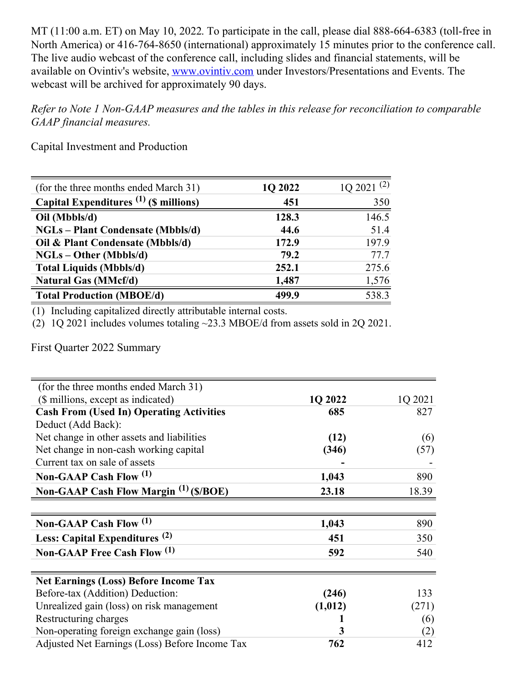MT (11:00 a.m. ET) on May 10, 2022. To participate in the call, please dial 888-664-6383 (toll-free in North America) or 416-764-8650 (international) approximately 15 minutes prior to the conference call. The live audio webcast of the conference call, including slides and financial statements, will be available on Ovintiv's website, [www.ovintiv.com](http://www.ovintiv.com) under Investors/Presentations and Events. The webcast will be archived for approximately 90 days.

*Refer to Note 1 Non-GAAP measures and the tables in this release for reconciliation to comparable GAAP financial measures.*

Capital Investment and Production

| (for the three months ended March 31)    | 1Q 2022 | $1Q\ 2021\ (2)$ |
|------------------------------------------|---------|-----------------|
| Capital Expenditures $(1)$ (\$ millions) | 451     | 350             |
| Oil (Mbbls/d)                            | 128.3   | 146.5           |
| <b>NGLs</b> – Plant Condensate (Mbbls/d) | 44.6    | 51.4            |
| Oil & Plant Condensate (Mbbls/d)         | 172.9   | 197.9           |
| $NGLs - Other (Mbbls/d)$                 | 79.2    | 77.7            |
| <b>Total Liquids (Mbbls/d)</b>           | 252.1   | 275.6           |
| Natural Gas (MMcf/d)                     | 1,487   | 1,576           |
| <b>Total Production (MBOE/d)</b>         | 499.9   | 538.3           |

(1) Including capitalized directly attributable internal costs.

(2) 1Q 2021 includes volumes totaling ~23.3 MBOE/d from assets sold in 2Q 2021.

First Quarter 2022 Summary

| (for the three months ended March 31)             |          |         |
|---------------------------------------------------|----------|---------|
| (\$ millions, except as indicated)                | 1Q 2022  | 1Q 2021 |
| <b>Cash From (Used In) Operating Activities</b>   | 685      | 827     |
| Deduct (Add Back):                                |          |         |
| Net change in other assets and liabilities        | (12)     | (6)     |
| Net change in non-cash working capital            | (346)    | (57)    |
| Current tax on sale of assets                     |          |         |
| Non-GAAP Cash Flow (1)                            | 1,043    | 890     |
| Non-GAAP Cash Flow Margin <sup>(1)</sup> (\$/BOE) | 23.18    | 18.39   |
|                                                   |          |         |
|                                                   |          |         |
| Non-GAAP Cash Flow (1)                            | 1,043    | 890     |
| Less: Capital Expenditures <sup>(2)</sup>         | 451      | 350     |
| Non-GAAP Free Cash Flow (1)                       | 592      | 540     |
|                                                   |          |         |
| <b>Net Earnings (Loss) Before Income Tax</b>      |          |         |
| Before-tax (Addition) Deduction:                  | (246)    | 133     |
| Unrealized gain (loss) on risk management         | (1, 012) | (271)   |
| Restructuring charges                             |          | (6)     |
| Non-operating foreign exchange gain (loss)        | 3        | (2)     |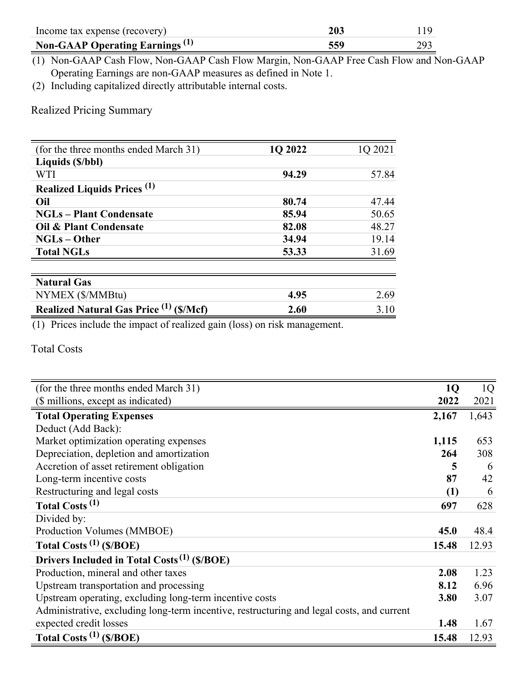| Income tax expense (recovery)              | 203 |  |
|--------------------------------------------|-----|--|
| Non-GAAP Operating Earnings <sup>(1)</sup> | 559 |  |

(1) Non-GAAP Cash Flow, Non-GAAP Cash Flow Margin, Non-GAAP Free Cash Flow and Non-GAAP Operating Earnings are non-GAAP measures as defined in Note 1.

(2) Including capitalized directly attributable internal costs.

Realized Pricing Summary

| (for the three months ended March 31)            | 1Q 2022 | 1Q 2021 |
|--------------------------------------------------|---------|---------|
| Liquids (\$/bbl)                                 |         |         |
| <b>WTI</b>                                       | 94.29   | 57.84   |
| <b>Realized Liquids Prices</b> (1)               |         |         |
| Oil                                              | 80.74   | 47.44   |
| <b>NGLs – Plant Condensate</b>                   | 85.94   | 50.65   |
| Oil & Plant Condensate                           | 82.08   | 48.27   |
| $NGLs - Other$                                   | 34.94   | 19.14   |
| <b>Total NGLs</b>                                | 53.33   | 31.69   |
|                                                  |         |         |
| <b>Natural Gas</b>                               |         |         |
| NYMEX (\$/MMBtu)                                 | 4.95    | 2.69    |
| <b>Realized Natural Gas Price (1)</b><br>(S/Mcf) | 2.60    | 3.10    |

(1) Prices include the impact of realized gain (loss) on risk management.

Total Costs

| (for the three months ended March 31)                                                     | <b>1Q</b> | 1 <sub>Q</sub> |
|-------------------------------------------------------------------------------------------|-----------|----------------|
| (\$ millions, except as indicated)                                                        | 2022      | 2021           |
| <b>Total Operating Expenses</b>                                                           | 2,167     | 1,643          |
| Deduct (Add Back):                                                                        |           |                |
| Market optimization operating expenses                                                    | 1,115     | 653            |
| Depreciation, depletion and amortization                                                  | 264       | 308            |
| Accretion of asset retirement obligation                                                  | 5         | 6              |
| Long-term incentive costs                                                                 | 87        | 42             |
| Restructuring and legal costs                                                             | (1)       | 6              |
| Total Costs <sup>(1)</sup>                                                                | 697       | 628            |
| Divided by:                                                                               |           |                |
| Production Volumes (MMBOE)                                                                | 45.0      | 48.4           |
| Total Costs $^{(1)}$ (\$/BOE)                                                             | 15.48     | 12.93          |
| Drivers Included in Total Costs <sup>(1)</sup> (\$/BOE)                                   |           |                |
| Production, mineral and other taxes                                                       | 2.08      | 1.23           |
| Upstream transportation and processing                                                    | 8.12      | 6.96           |
| Upstream operating, excluding long-term incentive costs                                   | 3.80      | 3.07           |
| Administrative, excluding long-term incentive, restructuring and legal costs, and current |           |                |
| expected credit losses                                                                    | 1.48      | 1.67           |
| Total Costs $^{(1)}$ (\$/BOE)                                                             | 15.48     | 12.93          |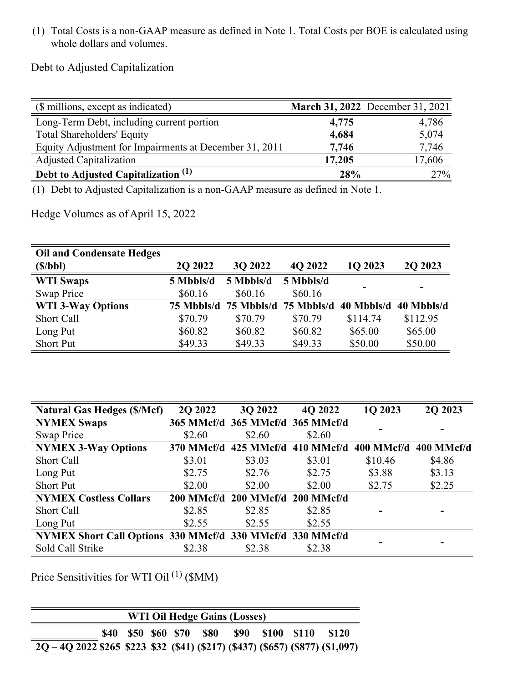(1) Total Costs is a non-GAAP measure as defined in Note 1. Total Costs per BOE is calculated using whole dollars and volumes.

Debt to Adjusted Capitalization

| (\$ millions, except as indicated)                     |        | March 31, 2022 December 31, 2021 |
|--------------------------------------------------------|--------|----------------------------------|
| Long-Term Debt, including current portion              | 4,775  | 4,786                            |
| <b>Total Shareholders' Equity</b>                      | 4,684  | 5,074                            |
| Equity Adjustment for Impairments at December 31, 2011 | 7,746  | 7,746                            |
| <b>Adjusted Capitalization</b>                         | 17,205 | 17,606                           |
| Debt to Adjusted Capitalization <sup>(1)</sup>         | 28%    | 27%                              |

(1) Debt to Adjusted Capitalization is a non-GAAP measure as defined in Note 1.

Hedge Volumes as of April 15, 2022

| <b>Oil and Condensate Hedges</b> |            |            |            |                          |            |
|----------------------------------|------------|------------|------------|--------------------------|------------|
| (S/bbl)                          | 2Q 2022    | 3Q 2022    | 4Q 2022    | 1Q 2023                  | 2Q 2023    |
| <b>WTI Swaps</b>                 | 5 Mbbls/d  | 5 Mbbls/d  | 5 Mbbls/d  |                          |            |
| Swap Price                       | \$60.16    | \$60.16    | \$60.16    | $\overline{\phantom{0}}$ |            |
| <b>WTI 3-Way Options</b>         | 75 Mbbls/d | 75 Mbbls/d | 75 Mbbls/d | 40 Mbbls/d               | 40 Mbbls/d |
| Short Call                       | \$70.79    | \$70.79    | \$70.79    | \$114.74                 | \$112.95   |
| Long Put                         | \$60.82    | \$60.82    | \$60.82    | \$65.00                  | \$65.00    |
| <b>Short Put</b>                 | \$49.33    | \$49.33    | \$49.33    | \$50.00                  | \$50.00    |

| <b>Natural Gas Hedges (\$/Mcf)</b>                        | 2Q 2022    | 3Q 2022                          | 4Q 2022               | 1Q 2023    | 2Q 2023    |
|-----------------------------------------------------------|------------|----------------------------------|-----------------------|------------|------------|
| <b>NYMEX Swaps</b>                                        |            | 365 MMcf/d 365 MMcf/d 365 MMcf/d |                       |            |            |
| Swap Price                                                | \$2.60     | \$2.60                           | \$2.60                |            |            |
| <b>NYMEX 3-Way Options</b>                                | 370 MMcf/d |                                  | 425 MMcf/d 410 MMcf/d | 400 MMcf/d | 400 MMcf/d |
| Short Call                                                | \$3.01     | \$3.03                           | \$3.01                | \$10.46    | \$4.86     |
| Long Put                                                  | \$2.75     | \$2.76                           | \$2.75                | \$3.88     | \$3.13     |
| Short Put                                                 | \$2.00     | \$2.00                           | \$2.00                | \$2.75     | \$2.25     |
| <b>NYMEX Costless Collars</b>                             |            | 200 MMcf/d 200 MMcf/d 200 MMcf/d |                       |            |            |
| <b>Short Call</b>                                         | \$2.85     | \$2.85                           | \$2.85                |            |            |
| Long Put                                                  | \$2.55     | \$2.55                           | \$2.55                |            |            |
| NYMEX Short Call Options 330 MMcf/d 330 MMcf/d 330 MMcf/d |            |                                  |                       |            |            |
| Sold Call Strike                                          | \$2.38     | \$2.38                           | \$2.38                |            |            |

Price Sensitivities for WTI Oil<sup>(1)</sup> (\$MM)

| WTI Oil Hedge Gains (Losses)                                                     |  |  |  |  |  |  |  |  |  |
|----------------------------------------------------------------------------------|--|--|--|--|--|--|--|--|--|
| \$40 \$50 \$60 \$70<br><b>S80</b><br><b>\$90</b><br>- S100<br>- \$110<br>\$120   |  |  |  |  |  |  |  |  |  |
| $2Q - 4Q$ 2022 \$265 \$223 \$32 (\$41) (\$217) (\$437) (\$657) (\$877) (\$1,097) |  |  |  |  |  |  |  |  |  |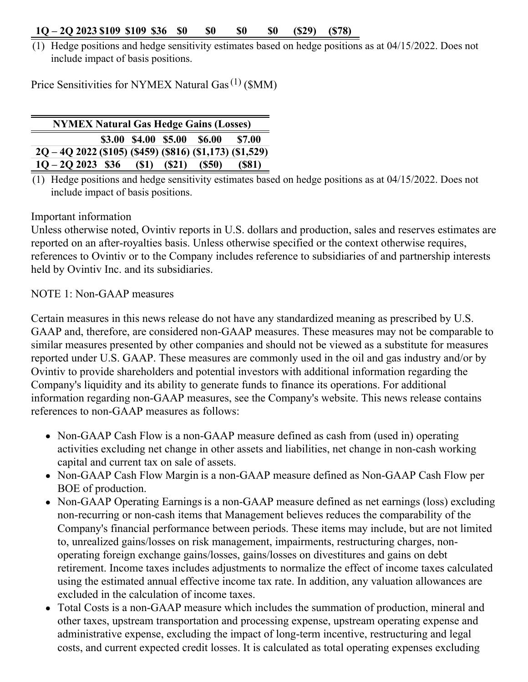#### **1Q – 2Q 2023 \$109 \$109 \$36 \$0 \$0 \$0 \$0 (\$29) (\$78)**

(1) Hedge positions and hedge sensitivity estimates based on hedge positions as at 04/15/2022. Does not include impact of basis positions.

Price Sensitivities for NYMEX Natural Gas<sup>(1)</sup> (\$MM)

| <b>NYMEX Natural Gas Hedge Gains (Losses)</b>              |  |      |       |                             |               |  |
|------------------------------------------------------------|--|------|-------|-----------------------------|---------------|--|
|                                                            |  |      |       | \$3.00 \$4.00 \$5.00 \$6.00 | <b>\$7.00</b> |  |
| $2Q - 4Q$ 2022 (\$105) (\$459) (\$816) (\$1,173) (\$1,529) |  |      |       |                             |               |  |
| $10 - 202023$ \$36                                         |  | (S1) | (S21) | (S50)                       | (S81)         |  |

 $(1)$  Hedge positions and hedge sensitivity estimates based on hedge positions as at 04/15/2022. Does not include impact of basis positions.

#### Important information

Unless otherwise noted, Ovintiv reports in U.S. dollars and production, sales and reserves estimates are reported on an after-royalties basis. Unless otherwise specified or the context otherwise requires, references to Ovintiv or to the Company includes reference to subsidiaries of and partnership interests held by Ovintiv Inc. and its subsidiaries.

NOTE 1: Non-GAAP measures

Certain measures in this news release do not have any standardized meaning as prescribed by U.S. GAAP and, therefore, are considered non-GAAP measures. These measures may not be comparable to similar measures presented by other companies and should not be viewed as a substitute for measures reported under U.S. GAAP. These measures are commonly used in the oil and gas industry and/or by Ovintiv to provide shareholders and potential investors with additional information regarding the Company's liquidity and its ability to generate funds to finance its operations. For additional information regarding non-GAAP measures, see the Company's website. This news release contains references to non-GAAP measures as follows:

- Non-GAAP Cash Flow is a non-GAAP measure defined as cash from (used in) operating activities excluding net change in other assets and liabilities, net change in non-cash working capital and current tax on sale of assets.
- Non-GAAP Cash Flow Margin is a non-GAAP measure defined as Non-GAAP Cash Flow per BOE of production.
- Non-GAAP Operating Earnings is a non-GAAP measure defined as net earnings (loss) excluding non-recurring or non-cash items that Management believes reduces the comparability of the Company's financial performance between periods. These items may include, but are not limited to, unrealized gains/losses on risk management, impairments, restructuring charges, nonoperating foreign exchange gains/losses, gains/losses on divestitures and gains on debt retirement. Income taxes includes adjustments to normalize the effect of income taxes calculated using the estimated annual effective income tax rate. In addition, any valuation allowances are excluded in the calculation of income taxes.
- Total Costs is a non-GAAP measure which includes the summation of production, mineral and other taxes, upstream transportation and processing expense, upstream operating expense and administrative expense, excluding the impact of long-term incentive, restructuring and legal costs, and current expected credit losses. It is calculated as total operating expenses excluding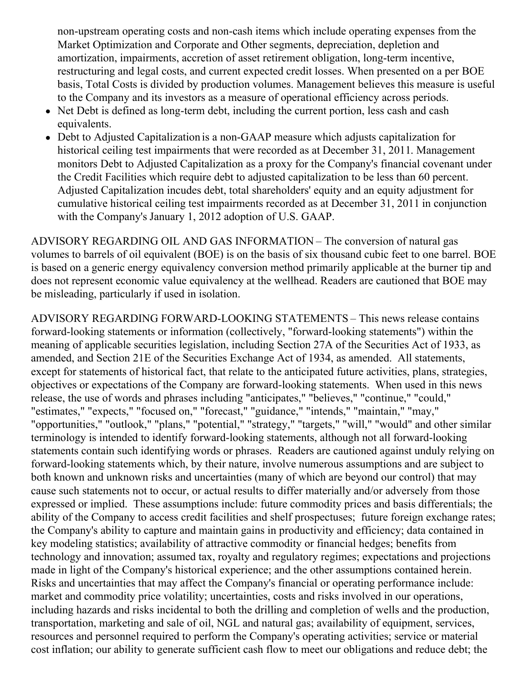non-upstream operating costs and non-cash items which include operating expenses from the Market Optimization and Corporate and Other segments, depreciation, depletion and amortization, impairments, accretion of asset retirement obligation, long-term incentive, restructuring and legal costs, and current expected credit losses. When presented on a per BOE basis, Total Costs is divided by production volumes. Management believes this measure is useful to the Company and its investors as a measure of operational efficiency across periods.

- Net Debt is defined as long-term debt, including the current portion, less cash and cash equivalents.
- Debt to Adjusted Capitalization is a non-GAAP measure which adjusts capitalization for historical ceiling test impairments that were recorded as at December 31, 2011. Management monitors Debt to Adjusted Capitalization as a proxy for the Company's financial covenant under the Credit Facilities which require debt to adjusted capitalization to be less than 60 percent. Adjusted Capitalization incudes debt, total shareholders' equity and an equity adjustment for cumulative historical ceiling test impairments recorded as at December 31, 2011 in conjunction with the Company's January 1, 2012 adoption of U.S. GAAP.

ADVISORY REGARDING OIL AND GAS INFORMATION – The conversion of natural gas volumes to barrels of oil equivalent (BOE) is on the basis of six thousand cubic feet to one barrel. BOE is based on a generic energy equivalency conversion method primarily applicable at the burner tip and does not represent economic value equivalency at the wellhead. Readers are cautioned that BOE may be misleading, particularly if used in isolation.

ADVISORY REGARDING FORWARD-LOOKING STATEMENTS – This news release contains forward-looking statements or information (collectively, "forward-looking statements") within the meaning of applicable securities legislation, including Section 27A of the Securities Act of 1933, as amended, and Section 21E of the Securities Exchange Act of 1934, as amended. All statements, except for statements of historical fact, that relate to the anticipated future activities, plans, strategies, objectives or expectations of the Company are forward-looking statements. When used in this news release, the use of words and phrases including "anticipates," "believes," "continue," "could," "estimates," "expects," "focused on," "forecast," "guidance," "intends," "maintain," "may," "opportunities," "outlook," "plans," "potential," "strategy," "targets," "will," "would" and other similar terminology is intended to identify forward-looking statements, although not all forward-looking statements contain such identifying words or phrases. Readers are cautioned against unduly relying on forward-looking statements which, by their nature, involve numerous assumptions and are subject to both known and unknown risks and uncertainties (many of which are beyond our control) that may cause such statements not to occur, or actual results to differ materially and/or adversely from those expressed or implied. These assumptions include: future commodity prices and basis differentials; the ability of the Company to access credit facilities and shelf prospectuses; future foreign exchange rates; the Company's ability to capture and maintain gains in productivity and efficiency; data contained in key modeling statistics; availability of attractive commodity or financial hedges; benefits from technology and innovation; assumed tax, royalty and regulatory regimes; expectations and projections made in light of the Company's historical experience; and the other assumptions contained herein. Risks and uncertainties that may affect the Company's financial or operating performance include: market and commodity price volatility; uncertainties, costs and risks involved in our operations, including hazards and risks incidental to both the drilling and completion of wells and the production, transportation, marketing and sale of oil, NGL and natural gas; availability of equipment, services, resources and personnel required to perform the Company's operating activities; service or material cost inflation; our ability to generate sufficient cash flow to meet our obligations and reduce debt; the